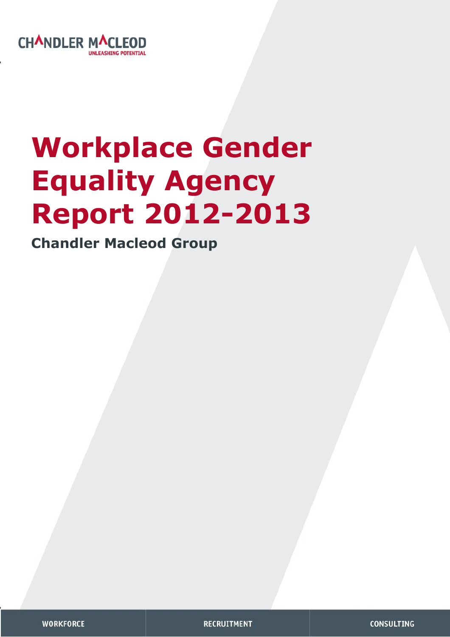

# **Workplace Gender Equality Agency Report 2012-2013**

**Chandler Macleod Group** 

**RECRUITMENT**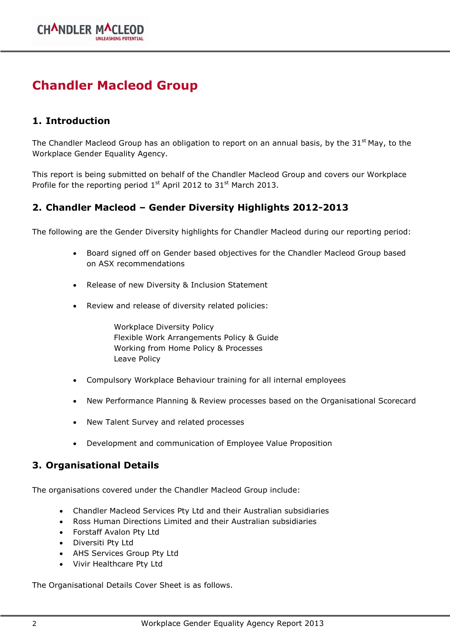# **Chandler Macleod Group**

# **1. Introduction**

The Chandler Macleod Group has an obligation to report on an annual basis, by the 31<sup>st</sup> May, to the Workplace Gender Equality Agency.

This report is being submitted on behalf of the Chandler Macleod Group and covers our Workplace Profile for the reporting period  $1^{st}$  April 2012 to 31<sup>st</sup> March 2013.

# **2. Chandler Macleod – Gender Diversity Highlights 2012-2013**

The following are the Gender Diversity highlights for Chandler Macleod during our reporting period:

- Board signed off on Gender based objectives for the Chandler Macleod Group based on ASX recommendations
- Release of new Diversity & Inclusion Statement
- Review and release of diversity related policies:

Workplace Diversity Policy Flexible Work Arrangements Policy & Guide Working from Home Policy & Processes Leave Policy

- Compulsory Workplace Behaviour training for all internal employees
- New Performance Planning & Review processes based on the Organisational Scorecard
- New Talent Survey and related processes
- Development and communication of Employee Value Proposition

### **3. Organisational Details**

The organisations covered under the Chandler Macleod Group include:

- Chandler Macleod Services Pty Ltd and their Australian subsidiaries
- Ross Human Directions Limited and their Australian subsidiaries
- Forstaff Avalon Pty Ltd
- Diversiti Pty Ltd
- AHS Services Group Pty Ltd
- Vivir Healthcare Pty Ltd

The Organisational Details Cover Sheet is as follows.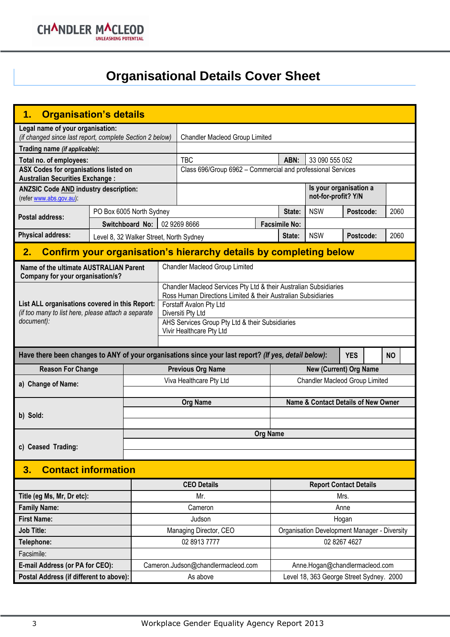**CHANDLER MACLEOD** 

# **Organisational Details Cover Sheet**

| <b>Organisation's details</b><br>1.                                             |                                |                                         |                                                             |                                                                                                      |                 |                                               |                                                                 |              |      |           |  |  |
|---------------------------------------------------------------------------------|--------------------------------|-----------------------------------------|-------------------------------------------------------------|------------------------------------------------------------------------------------------------------|-----------------|-----------------------------------------------|-----------------------------------------------------------------|--------------|------|-----------|--|--|
| Legal name of your organisation:                                                |                                |                                         |                                                             |                                                                                                      |                 |                                               |                                                                 |              |      |           |  |  |
| (if changed since last report, complete Section 2 below)                        | Chandler Macleod Group Limited |                                         |                                                             |                                                                                                      |                 |                                               |                                                                 |              |      |           |  |  |
| Trading name (if applicable):                                                   |                                |                                         |                                                             |                                                                                                      |                 |                                               |                                                                 |              |      |           |  |  |
| Total no. of employees:                                                         |                                |                                         |                                                             | <b>TBC</b>                                                                                           |                 | ABN:                                          | 33 090 555 052                                                  |              |      |           |  |  |
| ASX Codes for organisations listed on<br><b>Australian Securities Exchange:</b> |                                |                                         | Class 696/Group 6962 - Commercial and professional Services |                                                                                                      |                 |                                               |                                                                 |              |      |           |  |  |
| <b>ANZSIC Code AND industry description:</b><br>(refer www.abs.gov.au):         |                                |                                         |                                                             |                                                                                                      |                 | Is your organisation a<br>not-for-profit? Y/N |                                                                 |              |      |           |  |  |
|                                                                                 | PO Box 6005 North Sydney       |                                         |                                                             |                                                                                                      | State:          | <b>NSW</b>                                    | Postcode:                                                       |              | 2060 |           |  |  |
| <b>Postal address:</b><br>Switchboard No:                                       |                                |                                         |                                                             | 02 9269 8666                                                                                         |                 | <b>Facsimile No:</b>                          |                                                                 |              |      |           |  |  |
| <b>Physical address:</b>                                                        |                                | Level 8, 32 Walker Street, North Sydney |                                                             |                                                                                                      |                 | State:                                        | <b>NSW</b>                                                      | Postcode:    |      | 2060      |  |  |
| 2.                                                                              |                                |                                         |                                                             | Confirm your organisation's hierarchy details by completing below                                    |                 |                                               |                                                                 |              |      |           |  |  |
| Name of the ultimate AUSTRALIAN Parent<br>Company for your organisation/s?      |                                |                                         |                                                             | Chandler Macleod Group Limited                                                                       |                 |                                               |                                                                 |              |      |           |  |  |
|                                                                                 |                                |                                         |                                                             | Chandler Macleod Services Pty Ltd & their Australian Subsidiaries                                    |                 |                                               |                                                                 |              |      |           |  |  |
| List ALL organisations covered in this Report:                                  |                                |                                         |                                                             | Ross Human Directions Limited & their Australian Subsidiaries                                        |                 |                                               |                                                                 |              |      |           |  |  |
| (if too many to list here, please attach a separate                             |                                |                                         |                                                             | Forstaff Avalon Pty Ltd<br>Diversiti Pty Ltd                                                         |                 |                                               |                                                                 |              |      |           |  |  |
| document):                                                                      |                                |                                         |                                                             | AHS Services Group Pty Ltd & their Subsidiaries                                                      |                 |                                               |                                                                 |              |      |           |  |  |
|                                                                                 |                                |                                         | Vivir Healthcare Pty Ltd                                    |                                                                                                      |                 |                                               |                                                                 |              |      |           |  |  |
|                                                                                 |                                |                                         |                                                             |                                                                                                      |                 |                                               |                                                                 |              |      |           |  |  |
|                                                                                 |                                |                                         |                                                             | Have there been changes to ANY of your organisations since your last report? (If yes, detail below): |                 |                                               |                                                                 | <b>YES</b>   |      | <b>NO</b> |  |  |
|                                                                                 |                                |                                         |                                                             |                                                                                                      |                 |                                               |                                                                 |              |      |           |  |  |
| <b>Reason For Change</b>                                                        |                                |                                         |                                                             | <b>Previous Org Name</b><br>Viva Healthcare Pty Ltd                                                  |                 |                                               | <b>New (Current) Org Name</b><br>Chandler Macleod Group Limited |              |      |           |  |  |
| a) Change of Name:                                                              |                                |                                         |                                                             |                                                                                                      |                 |                                               |                                                                 |              |      |           |  |  |
|                                                                                 |                                |                                         |                                                             | <b>Org Name</b>                                                                                      |                 |                                               | Name & Contact Details of New Owner                             |              |      |           |  |  |
| b) Sold:                                                                        |                                |                                         |                                                             |                                                                                                      |                 |                                               |                                                                 |              |      |           |  |  |
|                                                                                 |                                |                                         |                                                             |                                                                                                      |                 |                                               |                                                                 |              |      |           |  |  |
|                                                                                 |                                |                                         |                                                             |                                                                                                      | <b>Org Name</b> |                                               |                                                                 |              |      |           |  |  |
| c) Ceased Trading:                                                              |                                |                                         |                                                             |                                                                                                      |                 |                                               |                                                                 |              |      |           |  |  |
| <b>Contact information</b><br>3.                                                |                                |                                         |                                                             |                                                                                                      |                 |                                               |                                                                 |              |      |           |  |  |
|                                                                                 |                                |                                         |                                                             | <b>CEO Details</b>                                                                                   |                 |                                               | <b>Report Contact Details</b>                                   |              |      |           |  |  |
| Title (eg Ms, Mr, Dr etc):                                                      |                                |                                         |                                                             | Mr.                                                                                                  |                 |                                               |                                                                 | Mrs.         |      |           |  |  |
| <b>Family Name:</b>                                                             |                                |                                         |                                                             | Cameron                                                                                              |                 |                                               |                                                                 | Anne         |      |           |  |  |
| <b>First Name:</b>                                                              |                                |                                         |                                                             | Judson                                                                                               |                 |                                               |                                                                 | Hogan        |      |           |  |  |
| <b>Job Title:</b>                                                               |                                |                                         |                                                             | Managing Director, CEO                                                                               |                 |                                               | Organisation Development Manager - Diversity                    |              |      |           |  |  |
| Telephone:                                                                      |                                |                                         |                                                             | 02 8913 7777                                                                                         |                 |                                               |                                                                 | 02 8267 4627 |      |           |  |  |
| Facsimile:                                                                      |                                |                                         |                                                             |                                                                                                      |                 |                                               |                                                                 |              |      |           |  |  |
| E-mail Address (or PA for CEO):                                                 |                                |                                         |                                                             | Cameron.Judson@chandlermacleod.com                                                                   |                 |                                               | Anne.Hogan@chandlermacleod.com                                  |              |      |           |  |  |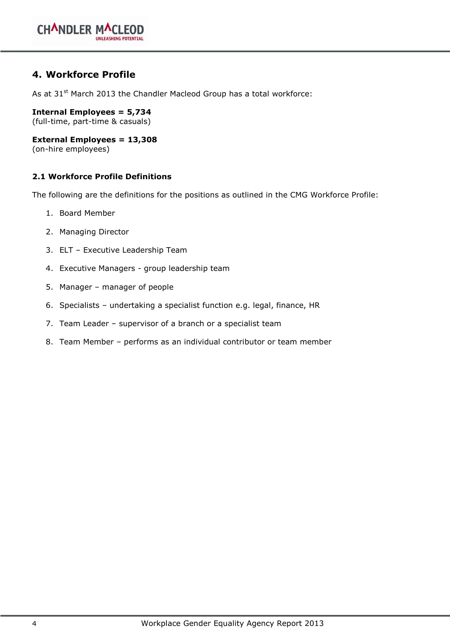### **4. Workforce Profile**

As at 31<sup>st</sup> March 2013 the Chandler Macleod Group has a total workforce:

**Internal Employees = 5,734**  (full-time, part-time & casuals)

**External Employees = 13,308**

(on-hire employees)

### **2.1 Workforce Profile Definitions**

The following are the definitions for the positions as outlined in the CMG Workforce Profile:

- 1. Board Member
- 2. Managing Director
- 3. ELT Executive Leadership Team
- 4. Executive Managers group leadership team
- 5. Manager manager of people
- 6. Specialists undertaking a specialist function e.g. legal, finance, HR
- 7. Team Leader supervisor of a branch or a specialist team
- 8. Team Member performs as an individual contributor or team member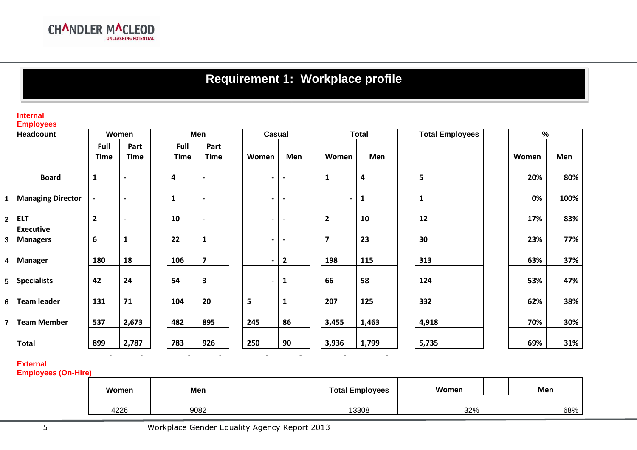# **Requirement 1: Workplace profile**

#### **Internal Employees**

| Headcount<br>Women |                                | Men                 |                          |                     | Casual                   |  |                          | <b>Total</b> |  |                         | <b>Total Employees</b> | $\%$ |              |  |       |      |
|--------------------|--------------------------------|---------------------|--------------------------|---------------------|--------------------------|--|--------------------------|--------------|--|-------------------------|------------------------|------|--------------|--|-------|------|
|                    |                                | Full<br><b>Time</b> | Part<br><b>Time</b>      | Full<br><b>Time</b> | Part<br><b>Time</b>      |  | Women                    | Men          |  | Women                   | Men                    |      |              |  | Women | Men  |
|                    | <b>Board</b>                   | $\mathbf{1}$        | $\overline{\phantom{a}}$ | 4                   | $\overline{\phantom{a}}$ |  | $\blacksquare$           |              |  | 1                       | 4                      |      | 5            |  | 20%   | 80%  |
|                    | 1 Managing Director            | $\blacksquare$      | $\overline{\phantom{a}}$ | 1                   | $\blacksquare$           |  | $\blacksquare$           |              |  | $\sim$                  | $\mathbf{1}$           |      | $\mathbf{1}$ |  | 0%    | 100% |
|                    | 2 ELT                          | $\overline{2}$      | $\blacksquare$           | 10                  | $\overline{\phantom{a}}$ |  | $\blacksquare$           |              |  | $\overline{2}$          | 10                     |      | 12           |  | 17%   | 83%  |
|                    | <b>Executive</b><br>3 Managers | 6                   | 1                        | 22                  | $\mathbf{1}$             |  | $\overline{\phantom{a}}$ |              |  | $\overline{\mathbf{z}}$ | 23                     |      | 30           |  | 23%   | 77%  |
|                    | 4 Manager                      | 180                 | 18                       | 106                 | $\overline{\mathbf{z}}$  |  | $\overline{\phantom{a}}$ | $\mathbf{2}$ |  | 198                     | 115                    |      | 313          |  | 63%   | 37%  |
|                    | 5 Specialists                  | 42                  | 24                       | 54                  | $\mathbf{3}$             |  | $\overline{\phantom{a}}$ | 1            |  | 66                      | 58                     |      | 124          |  | 53%   | 47%  |
|                    | 6 Team leader                  | 131                 | 71                       | 104                 | 20                       |  | 5                        | 1            |  | 207                     | 125                    |      | 332          |  | 62%   | 38%  |
|                    | 7 Team Member                  | 537                 | 2,673                    | 482                 | 895                      |  | 245                      | 86           |  | 3,455                   | 1,463                  |      | 4,918        |  | 70%   | 30%  |
|                    | <b>Total</b>                   | 899                 | 2,787                    | 783                 | 926                      |  | 250                      | 90           |  | 3,936                   | 1,799                  |      | 5,735        |  | 69%   | 31%  |

**External Employees (On-Hire)**

| Women | Men  | <b>Total Employees</b> | Women | Men |
|-------|------|------------------------|-------|-----|
| 4226  | 9082 | 13308                  | 32%   | 68% |

- - - - - - - -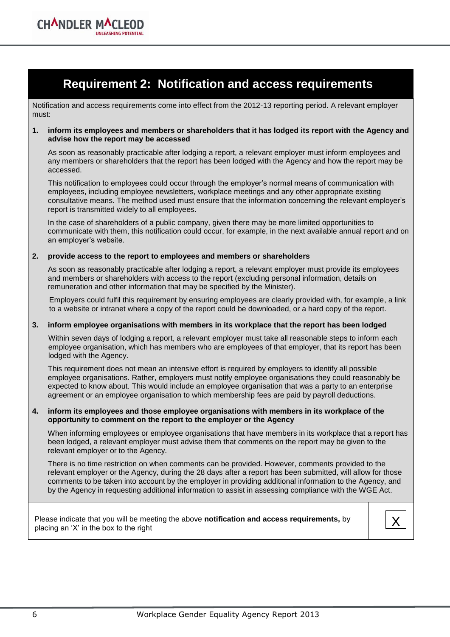

Notification and access requirements come into effect from the 2012-13 reporting period. A relevant employer must:

### **1. inform its employees and members or shareholders that it has lodged its report with the Agency and advise how the report may be accessed**

As soon as reasonably practicable after lodging a report, a relevant employer must inform employees and any members or shareholders that the report has been lodged with the Agency and how the report may be accessed.

This notification to employees could occur through the employer's normal means of communication with employees, including employee newsletters, workplace meetings and any other appropriate existing consultative means. The method used must ensure that the information concerning the relevant employer's report is transmitted widely to all employees.

In the case of shareholders of a public company, given there may be more limited opportunities to communicate with them, this notification could occur, for example, in the next available annual report and on an employer's website.

### **2. provide access to the report to employees and members or shareholders**

**CHANDLER MA** 

As soon as reasonably practicable after lodging a report, a relevant employer must provide its employees and members or shareholders with access to the report (excluding personal information, details on remuneration and other information that may be specified by the Minister).

Employers could fulfil this requirement by ensuring employees are clearly provided with, for example, a link to a website or intranet where a copy of the report could be downloaded, or a hard copy of the report.

### **3. inform employee organisations with members in its workplace that the report has been lodged**

Within seven days of lodging a report, a relevant employer must take all reasonable steps to inform each employee organisation, which has members who are employees of that employer, that its report has been lodged with the Agency.

This requirement does not mean an intensive effort is required by employers to identify all possible employee organisations. Rather, employers must notify employee organisations they could reasonably be expected to know about. This would include an employee organisation that was a party to an enterprise agreement or an employee organisation to which membership fees are paid by payroll deductions.

### **4. inform its employees and those employee organisations with members in its workplace of the opportunity to comment on the report to the employer or the Agency**

When informing employees or employee organisations that have members in its workplace that a report has been lodged, a relevant employer must advise them that comments on the report may be given to the relevant employer or to the Agency.

There is no time restriction on when comments can be provided. However, comments provided to the relevant employer or the Agency, during the 28 days after a report has been submitted, will allow for those comments to be taken into account by the employer in providing additional information to the Agency, and by the Agency in requesting additional information to assist in assessing compliance with the WGE Act.

Please indicate that you will be meeting the above **notification and access requirements**, by  $\begin{matrix} \mathsf{X} \end{matrix}$